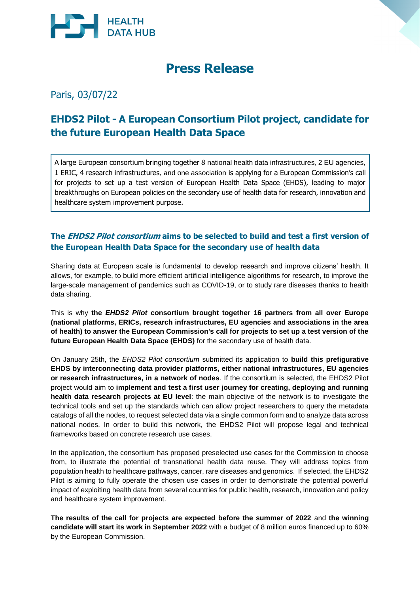

# **Press Release**

Paris, 03/07/22

# **EHDS2 Pilot - A European Consortium Pilot project, candidate for the future European Health Data Space**

A large European consortium bringing together 8 national health data infrastructures, 2 EU agencies, 1 ERIC, 4 research infrastructures, and one association is applying for a European Commission's call for projects to set up a test version of European Health Data Space (EHDS), leading to major breakthroughs on European policies on the secondary use of health data for research, innovation and healthcare system improvement purpose.

# **The EHDS2 Pilot consortium aims to be selected to build and test a first version of the European Health Data Space for the secondary use of health data**

Sharing data at European scale is fundamental to develop research and improve citizens' health. It allows, for example, to build more efficient artificial intelligence algorithms for research, to improve the large-scale management of pandemics such as COVID-19, or to study rare diseases thanks to health data sharing.

This is why **the** *EHDS2 Pilot* **consortium brought together 16 partners from all over Europe (national platforms, ERICs, research infrastructures, EU agencies and associations in the area of health) to answer the European Commission's call for projects to set up a test version of the future European Health Data Space (EHDS)** for the secondary use of health data.

On January 25th, the *EHDS2 Pilot consortium* submitted its application to **build this prefigurative EHDS by interconnecting data provider platforms, either national infrastructures, EU agencies or research infrastructures, in a network of nodes**. If the consortium is selected, the EHDS2 Pilot project would aim to **implement and test a first user journey for creating, deploying and running health data research projects at EU level**: the main objective of the network is to investigate the technical tools and set up the standards which can allow project researchers to query the metadata catalogs of all the nodes, to request selected data via a single common form and to analyze data across national nodes. In order to build this network, the EHDS2 Pilot will propose legal and technical frameworks based on concrete research use cases.

In the application, the consortium has proposed preselected use cases for the Commission to choose from, to illustrate the potential of transnational health data reuse. They will address topics from population health to healthcare pathways, cancer, rare diseases and genomics. If selected, the EHDS2 Pilot is aiming to fully operate the chosen use cases in order to demonstrate the potential powerful impact of exploiting health data from several countries for public health, research, innovation and policy and healthcare system improvement.

**The results of the call for projects are expected before the summer of 2022** and **the winning candidate will start its work in September 2022** with a budget of 8 million euros financed up to 60% by the European Commission.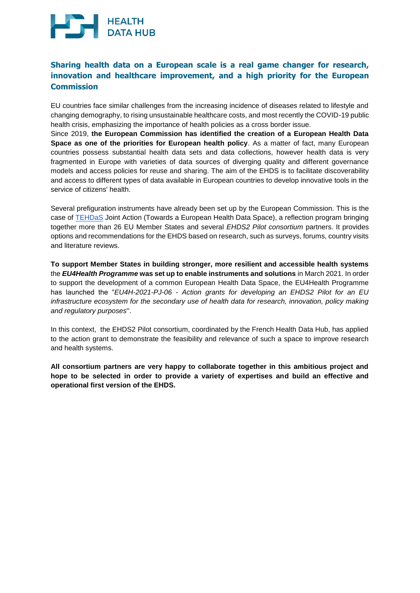# **HEALTH**<br>DATA HUB

# **Sharing health data on a European scale is a real game changer for research, innovation and healthcare improvement, and a high priority for the European Commission**

EU countries face similar challenges from the increasing incidence of diseases related to lifestyle and changing demography, to rising unsustainable healthcare costs, and most recently the COVID-19 public health crisis, emphasizing the importance of health policies as a cross border issue.

Since 2019, **the European Commission has identified the creation of a European Health Data Space as one of the priorities for European health policy**. As a matter of fact, many European countries possess substantial health data sets and data collections, however health data is very fragmented in Europe with varieties of data sources of diverging quality and different governance models and access policies for reuse and sharing. The aim of the EHDS is to facilitate discoverability and access to different types of data available in European countries to develop innovative tools in the service of citizens' health.

Several prefiguration instruments have already been set up by the European Commission. This is the case of [TEHDaS](https://tehdas.eu/) Joint Action (Towards a European Health Data Space), a reflection program bringing together more than 26 EU Member States and several *EHDS2 Pilot consortium* partners. It provides options and recommendations for the EHDS based on research, such as surveys, forums, country visits and literature reviews.

**To support Member States in building stronger, more resilient and accessible health systems** the *EU4Health Programme* **was set up to enable instruments and solutions** in March 2021. In order to support the development of a common European Health Data Space, the EU4Health Programme has launched the "*EU4H-2021-PJ-06 - Action grants for developing an EHDS2 Pilot for an EU infrastructure ecosystem for the secondary use of health data for research, innovation, policy making and regulatory purposes*''.

In this context, the EHDS2 Pilot consortium, coordinated by the French Health Data Hub, has applied to the action grant to demonstrate the feasibility and relevance of such a space to improve research and health systems.

**All consortium partners are very happy to collaborate together in this ambitious project and hope to be selected in order to provide a variety of expertises and build an effective and operational first version of the EHDS.**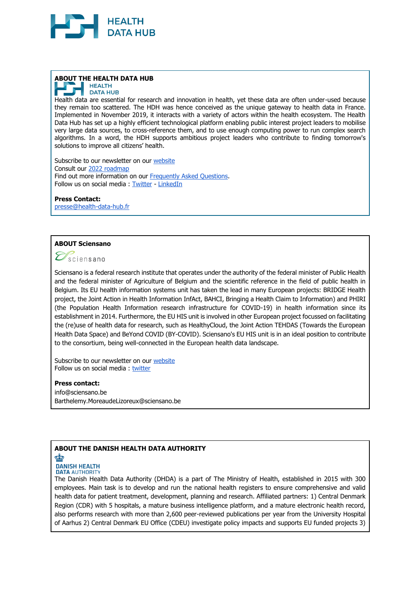

# **ABOUT THE HEALTH DATA HUB**



Health data are essential for research and innovation in health, yet these data are often under-used because they remain too scattered. The HDH was hence conceived as the unique gateway to health data in France. Implemented in November 2019, it interacts with a variety of actors within the health ecosystem. The Health Data Hub has set up a highly efficient technological platform enabling public interest project leaders to mobilise very large data sources, to cross-reference them, and to use enough computing power to run complex search algorithms. In a word, the HDH supports ambitious project leaders who contribute to finding tomorrow's solutions to improve all citizens' health.

Subscribe to our newsletter on our [website](https://www.health-data-hub.fr/inscription-newsletter) Consult our [2022 roadmap](https://www.health-data-hub.fr/sites/default/files/2022-03/HDH_Roadmap_2022.pdf) Find out more information on our [Frequently Asked Questions.](https://www.health-data-hub.fr/page/faq-english) Follow us on social media : [Twitter](https://twitter.com/HealthDataHub?s=20) - [LinkedIn](https://www.linkedin.com/company/health-data-hub)

#### **Press Contact:**

[presse@health-data-hub.fr](mailto:presse@health-data-hub.fr)

## **ABOUT Sciensano**

 $\mathcal{D}_\text{sciensano}$ 

Sciensano is a federal research institute that operates under the authority of the federal minister of Public Health and the federal minister of Agriculture of Belgium and the scientific reference in the field of public health in Belgium. Its EU health information systems unit has taken the lead in many European projects: BRIDGE Health project, the Joint Action in Health Information InfAct, BAHCI, Bringing a Health Claim to Information) and PHIRI (the Population Health Information research infrastructure for COVID-19) in health information since its establishment in 2014. Furthermore, the EU HIS unit is involved in other European project focussed on facilitating the (re)use of health data for research, such as HealthyCloud, the Joint Action TEHDAS (Towards the European Health Data Space) and BeYond COVID (BY-COVID). Sciensano's EU HIS unit is in an ideal position to contribute to the consortium, being well-connected in the European health data landscape.

Subscribe to our newsletter on our [website](https://www.sciensano.be/en) Follow us on social media : [twitter](https://twitter.com/EU_HIS_Unit%20%20https:/twitter.com/Sciensano)

#### **Press contact:**

info@sciensano.be [Barthelemy.MoreaudeLizoreux@sciensano.be](mailto:Barthelemy.MoreaudeLizoreux@sciensano.be)

# **ABOUT THE DANISH HEALTH DATA AUTHORITY**

## **SEP**

**DANISH HEALTH DATA AUTHORITY** 

The Danish Health Data Authority (DHDA) is a part of The Ministry of Health, established in 2015 with 300 employees. Main task is to develop and run the national health registers to ensure comprehensive and valid health data for patient treatment, development, planning and research. Affiliated partners: 1) Central Denmark Region (CDR) with 5 hospitals, a mature business intelligence platform, and a mature electronic health record, also performs research with more than 2,600 peer-reviewed publications per year from the University Hospital of Aarhus 2) Central Denmark EU Office (CDEU) investigate policy impacts and supports EU funded projects 3)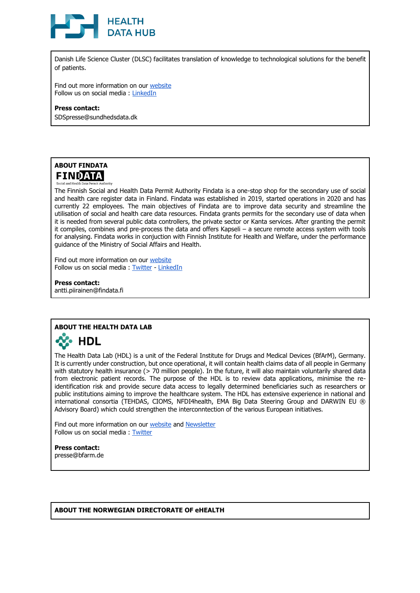

Danish Life Science Cluster (DLSC) facilitates translation of knowledge to technological solutions for the benefit of patients.

Find out more information on our [website](https://sundhedsdatastyrelsen.dk/da/english) Follow us on social media : [LinkedIn](https://www.linkedin.com/company/sundhedsdatastyrelsen/mycompany/)

#### **Press contact:**

SDSpresse@sundhedsdata.dk



The Finnish Social and Health Data Permit Authority Findata is a one-stop shop for the secondary use of social and health care register data in Finland. Findata was established in 2019, started operations in 2020 and has currently 22 employees. The main objectives of Findata are to improve data security and streamline the utilisation of social and health care data resources. Findata grants permits for the secondary use of data when it is needed from several public data controllers, the private sector or Kanta services. After granting the permit it compiles, combines and pre-process the data and offers Kapseli – a secure remote access system with tools for analysing. Findata works in conjuction with Finnish Institute for Health and Welfare, under the performance guidance of the Ministry of Social Affairs and Health.

Find out more information on our [website](https://findata.fi/en/) Follow us on social media : [Twitter](http://@findatafi) - [LinkedIn](https://www.linkedin.com/company/findatafi/mycompany/)

**Press contact:** antti.piirainen@findata.fi

# **ABOUT THE HEALTH DATA LAB**



The Health Data Lab (HDL) is a unit of the Federal Institute for Drugs and Medical Devices (BfArM), Germany. It is currently under construction, but once operational, it will contain health claims data of all people in Germany with statutory health insurance (> 70 million people). In the future, it will also maintain voluntarily shared data from electronic patient records. The purpose of the HDL is to review data applications, minimise the reidentification risk and provide secure data access to legally determined beneficiaries such as researchers or public institutions aiming to improve the healthcare system. The HDL has extensive experience in national and international consortia (TEHDAS, CIOMS, NFDI4health, EMA Big Data Steering Group and DARWIN EU ® Advisory Board) which could strengthen the interconntection of the various European initiatives.

Find out more information on our [website](https://www.forschungsdatenzentrum-gesundheit.de/) and [Newsletter](http://www.bfarm.de/newsletter) Follow us on social media : [Twitter](https://twitter.com/bfarm_de)

**Press contact:**

presse@bfarm.de

#### **ABOUT THE NORWEGIAN DIRECTORATE OF eHEALTH**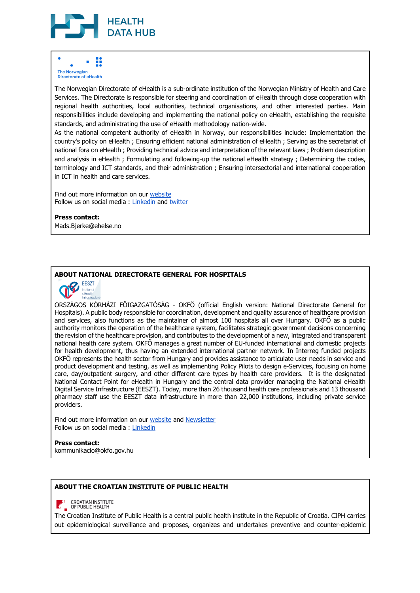

#### B **The Norwegian Directorate of eHealth**

The Norwegian Directorate of eHealth is a sub-ordinate institution of the Norwegian Ministry of Health and Care Services. The Directorate is responsible for steering and coordination of eHealth through close cooperation with regional health authorities, local authorities, technical organisations, and other interested parties. Main responsibilities include developing and implementing the national policy on eHealth, establishing the requisite standards, and administrating the use of eHealth methodology nation-wide.

As the national competent authority of eHealth in Norway, our responsibilities include: Implementation the country's policy on eHealth ; Ensuring efficient national administration of eHealth ; Serving as the secretariat of national fora on eHealth ; Providing technical advice and interpretation of the relevant laws ; Problem description and analysis in eHealth ; Formulating and following-up the national eHealth strategy ; Determining the codes, terminology and ICT standards, and their administration ; Ensuring intersectorial and international cooperation in ICT in health and care services.

Find out more information on our [website](http://www.ehelse.no/) Follow us on social media : [Linkedin](https://no.linkedin.com/company/direktoratet-for-e-helse) and [twitter](https://twitter.com/direhelse)

#### **Press contact:**

Mads.Bjerke@ehelse.no

# **ABOUT NATIONAL DIRECTORATE GENERAL FOR HOSPITALS**



ORSZÁGOS KÓRHÁZI FŐIGAZGATÓSÁG - OKFŐ (official English version: National Directorate General for Hospitals). A public body responsible for coordination, development and quality assurance of healthcare provision and services, also functions as the maintainer of almost 100 hospitals all over Hungary. OKFŐ as a public authority monitors the operation of the healthcare system, facilitates strategic government decisions concerning the revision of the healthcare provision, and contributes to the development of a new, integrated and transparent national health care system. OKFŐ manages a great number of EU-funded international and domestic projects for health development, thus having an extended international partner network. In Interreg funded projects OKFŐ represents the health sector from Hungary and provides assistance to articulate user needs in service and product development and testing, as well as implementing Policy Pilots to design e-Services, focusing on home care, day/outpatient surgery, and other different care types by health care providers. It is the designated National Contact Point for eHealth in Hungary and the central data provider managing the National eHealth Digital Service Infrastructure (EESZT). Today, more than 26 thousand health care professionals and 13 thousand pharmacy staff use the EESZT data infrastructure in more than 22,000 institutions, including private service providers.

Find out more information on our [website](https://okfo.gov.hu/) and [Newsletter](https://www.facebook.com/egeszseg.okfo) Follow us on social media : [Linkedin](https://www.linkedin.com/in/orsz%C3%A1gos-k%C3%B3rh%C3%A1zi-f%C5%91igazgat%C3%B3s%C3%A1g-23aa7a213/?originalSubdomain=hu)

**Press contact:** kommunikacio@okfo.gov.hu

#### **ABOUT THE CROATIAN INSTITUTE OF PUBLIC HEALTH**

**EXAMPLE CROATIAN INSTITUTE** 

The Croatian Institute of Public Health is a central public health institute in the Republic of Croatia. CIPH carries out epidemiological surveillance and proposes, organizes and undertakes preventive and counter-epidemic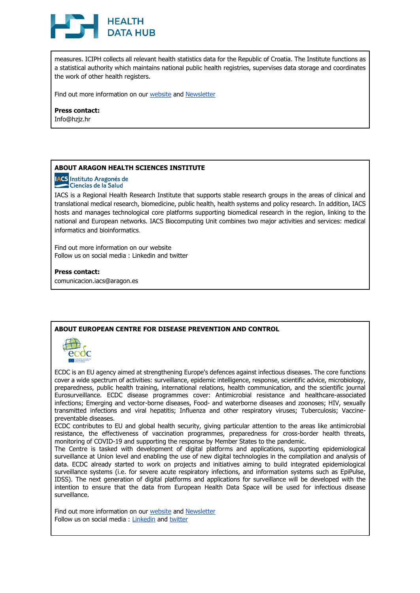# **HEALTH DATA HUB**

measures. ICIPH collects all relevant health statistics data for the Republic of Croatia. The Institute functions as a statistical authority which maintains national public health registries, supervises data storage and coordinates the work of other health registers.

Find out more information on our [website](https://www.hzjz.hr/) and [Newsletter](https://www.facebook.com/hzjz.zavod)

#### **Press contact:**

Info@hzjz.hr

# **ABOUT ARAGON HEALTH SCIENCES INSTITUTE**

**IACS** Instituto Aragonés de Ciencias de la Salud

IACS is a Regional Health Research Institute that supports stable research groups in the areas of clinical and translational medical research, biomedicine, public health, health systems and policy research. In addition, IACS hosts and manages technological core platforms supporting biomedical research in the region, linking to the national and European networks. IACS Biocomputing Unit combines two major activities and services: medical informatics and bioinformatics.

Find out more information on our [website](https://www.iacs.es/) Follow us on social media : [Linkedin](https://www.linkedin.com/company/instituto-aragon%C3%A9s-de-ciencias-de-la-salud/) and [twitter](https://twitter.com/iacs_aragon)

**Press contact:** comunicacion.iacs@aragon.es

#### **ABOUT EUROPEAN CENTRE FOR DISEASE PREVENTION AND CONTROL**



ECDC is an EU agency aimed at strengthening Europe's defences against infectious diseases. The core functions cover a wide spectrum of activities: surveillance, epidemic intelligence, response, scientific advice, microbiology, preparedness, public health training, international relations, health communication, and the scientific journal Eurosurveillance. ECDC disease programmes cover: Antimicrobial resistance and healthcare-associated infections; Emerging and vector-borne diseases, Food- and waterborne diseases and zoonoses; HIV, sexually transmitted infections and viral hepatitis; Influenza and other respiratory viruses; Tuberculosis; Vaccinepreventable diseases.

ECDC contributes to EU and global health security, giving particular attention to the areas like antimicrobial resistance, the effectiveness of vaccination programmes, preparedness for cross-border health threats, monitoring of COVID-19 and supporting the response by Member States to the pandemic.

The Centre is tasked with development of digital platforms and applications, supporting epidemiological surveillance at Union level and enabling the use of new digital technologies in the compilation and analysis of data. ECDC already started to work on projects and initiatives aiming to build integrated epidemiological surveillance systems (i.e. for severe acute respiratory infections, and information systems such as EpiPulse, IDSS). The next generation of digital platforms and applications for surveillance will be developed with the intention to ensure that the data from European Health Data Space will be used for infectious disease surveillance.

Find out more information on our [website](https://www.ecdc.europa.eu/) and [Newsletter](https://www.surveygizmo.eu/s3/90144553/AG-ECDC-subcribe-form) Follow us on social media : [Linkedin](https://www.linkedin.com/company/ecdc) and [twitter](https://twitter.com/ecdc_eu)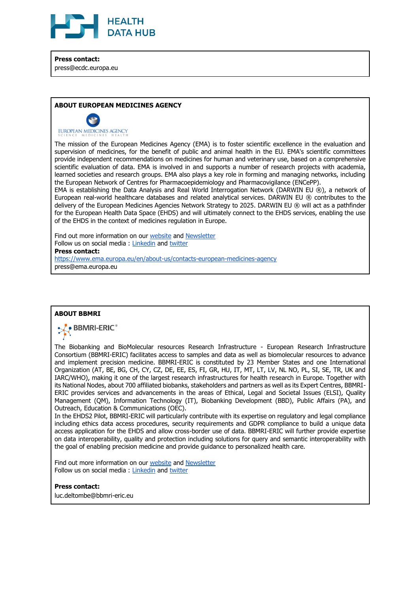

**Press contact:** press@ecdc.europa.eu

#### **ABOUT EUROPEAN MEDICINES AGENCY**



EUROPEAN MEDICINES AGENCY

The mission of the European Medicines Agency (EMA) is to foster scientific excellence in the evaluation and supervision of medicines, for the benefit of public and animal health in the EU. EMA's scientific committees provide independent recommendations on medicines for human and veterinary use, based on a comprehensive scientific evaluation of data. EMA is involved in and supports a number of research projects with academia, learned societies and research groups. EMA also plays a key role in forming and managing networks, including the European Network of Centres for Pharmacoepidemiology and Pharmacovigilance (ENCePP).

EMA is establishing the Data Analysis and Real World Interrogation Network (DARWIN EU ®), a network of European real-world healthcare databases and related analytical services. DARWIN EU ® contributes to the delivery of the European Medicines Agencies Network Strategy to 2025. DARWIN EU ® will act as a pathfinder for the European Health Data Space (EHDS) and will ultimately connect to the EHDS services, enabling the use of the EHDS in the context of medicines regulation in Europe.

Find out more information on our [website](https://www.ema.europa.eu/en) and [Newsletter](https://www.ema.europa.eu/en/news-events) Follow us on social media : [Linkedin](https://www.linkedin.com/company/european-medicines-agency/) and [twitter](https://twitter.com/EMA_News) **Press contact:** <https://www.ema.europa.eu/en/about-us/contacts-european-medicines-agency> press@ema.europa.eu

#### **ABOUT BBMRI**



The Biobanking and BioMolecular resources Research Infrastructure - European Research Infrastructure Consortium (BBMRI-ERIC) facilitates access to samples and data as well as biomolecular resources to advance and implement precision medicine. BBMRI-ERIC is constituted by 23 Member States and one International Organization (AT, BE, BG, CH, CY, CZ, DE, EE, ES, FI, GR, HU, IT, MT, LT, LV, NL NO, PL, SI, SE, TR, UK and IARC/WHO), making it one of the largest research infrastructures for health research in Europe. Together with its National Nodes, about 700 affiliated biobanks, stakeholders and partners as well as its Expert Centres, BBMRI-ERIC provides services and advancements in the areas of Ethical, Legal and Societal Issues (ELSI), Quality Management (QM), Information Technology (IT), Biobanking Development (BBD), Public Affairs (PA), and Outreach, Education & Communications (OEC).

In the EHDS2 Pilot, BBMRI-ERIC will particularly contribute with its expertise on regulatory and legal compliance including ethics data access procedures, security requirements and GDPR compliance to build a unique data access application for the EHDS and allow cross-border use of data. BBMRI-ERIC will further provide expertise on data interoperability, quality and protection including solutions for query and semantic interoperability with the goal of enabling precision medicine and provide guidance to personalized health care.

Find out more information on our [website](https://www.bbmri-eric.eu/) and [Newsletter](https://bit.ly/3u5o5em) Follow us on social media : [Linkedin](https://www.linkedin.com/company/bbmri-eric) and [twitter](https://twitter.com/BBMRIERIC)

**Press contact:**

luc.deltombe@bbmri-eric.eu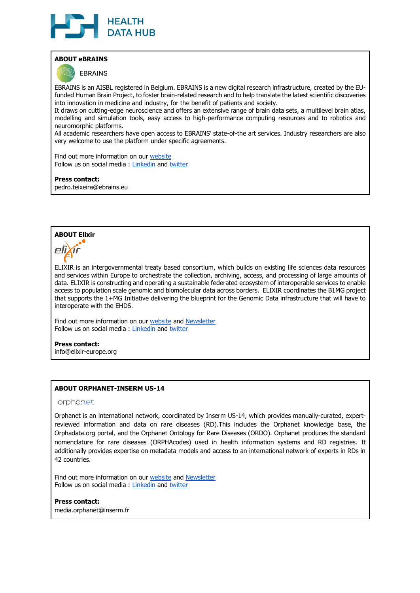

## **ABOUT eBRAINS**

**EBRAINS** 

EBRAINS is an AISBL registered in Belgium. EBRAINS is a new digital research infrastructure, created by the EUfunded Human Brain Project, to foster brain-related research and to help translate the latest scientific discoveries into innovation in medicine and industry, for the benefit of patients and society.

It draws on cutting-edge neuroscience and offers an extensive range of brain data sets, a multilevel brain atlas, modelling and simulation tools, easy access to high-performance computing resources and to robotics and neuromorphic platforms.

All academic researchers have open access to EBRAINS' state-of-the art services. Industry researchers are also very welcome to use the platform under specific agreements.

Find out more information on our [website](http://www.ebrains.eu/) Follow us on social media : [Linkedin](https://www.linkedin.com/company/ebrains-eu) and [twitter](https://twitter.com/EBRAINS_eu%20-%20@EBRAINS_eu)

**Press contact:** pedro.teixeira@ebrains.eu

# **ABOUT Elixir**



ELIXIR is an intergovernmental treaty based consortium, which builds on existing life sciences data resources and services within Europe to orchestrate the collection, archiving, access, and processing of large amounts of data. ELIXIR is constructing and operating a sustainable federated ecosystem of interoperable services to enable access to population scale genomic and biomolecular data across borders. ELIXIR coordinates the B1MG project that supports the 1+MG Initiative delivering the blueprint for the Genomic Data infrastructure that will have to interoperate with the EHDS.

Find out more information on our [website](http://www.elixir-europe.org/) and [Newsletter](https://elixir-europe.org/news/newsletters) Follow us on social media : [Linkedin](https://www.linkedin.com/company/elixir-europe) and [twitter](https://twitter.com/elixireurope)

**Press contact:**

info@elixir-europe.org

# **ABOUT ORPHANET-INSERM US-14**

#### orphanet

Orphanet is an international network, coordinated by Inserm US-14, which provides manually-curated, expertreviewed information and data on rare diseases (RD).This includes the Orphanet knowledge base, th[e](http://orphadata.org/) [Orphadata.org](http://orphadata.org/) portal, and the Orphanet Ontology for Rare Diseases (ORDO). Orphanet produces the standard nomenclature for rare diseases (ORPHAcodes) used in health information systems and RD registries. It additionally provides expertise on metadata models and access to an international network of experts in RDs in 42 countries.

Find out more information on our [website](http://www.orpha.net/) and [Newsletter](http://international.orphanews.org/home.html) Follow us on social media : [Linkedin](https://www.linkedin.com/company/inserm/) and [twitter](https://twitter.com/Orphanet)

**Press contact:**

media.orphanet@inserm.fr